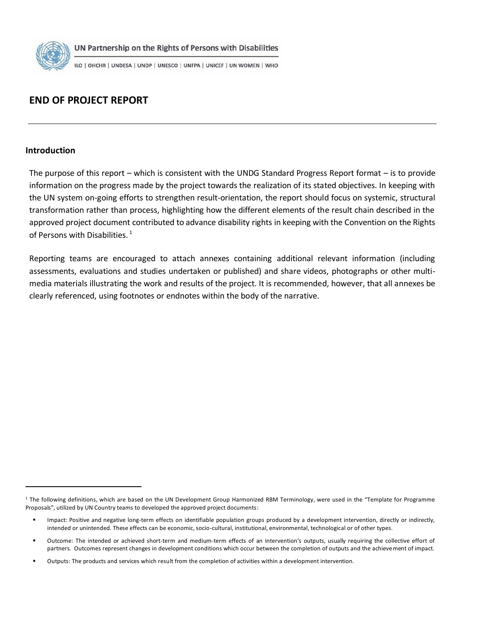

UN Partnership on the Rights of Persons with Disabilities

ILO | OHCHR | UNDESA | UNDP | UNESCO | UNFPA | UNICEF | UN WOMEN | WHO

# **END OF PROJECT REPORT**

#### **Introduction**

The purpose of this report – which is consistent with the UNDG Standard Progress Report format – is to provide information on the progress made by the project towards the realization of its stated objectives. In keeping with the UN system on-going efforts to strengthen result-orientation, the report should focus on systemic, structural transformation rather than process, highlighting how the different elements of the result chain described in the approved project document contributed to advance disability rights in keeping with the Convention on the Rights of Persons with Disabilities.<sup>1</sup>

Reporting teams are encouraged to attach annexes containing additional relevant information (including assessments, evaluations and studies undertaken or published) and share videos, photographs or other multimedia materials illustrating the work and results of the project. It is recommended, however, that all annexes be clearly referenced, using footnotes or endnotes within the body of the narrative.

<sup>&</sup>lt;sup>1</sup> The following definitions, which are based on the UN Development Group Harmonized RBM Terminology, were used in the "Template for Programme Proposals", utilized by UN Country teams to developed the approved project documents:

Impact: Positive and negative long-term effects on identifiable population groups produced by a development intervention, directly or indirectly, intended or unintended. These effects can be economic, socio-cultural, institutional, environmental, technological or of other types.

Outcome: The intended or achieved short-term and medium-term effects of an intervention's outputs, usually requiring the collective effort of partners. Outcomes represent changes in development conditions which occur between the completion of outputs and the achievement of impact.

Outputs: The products and services which result from the completion of activities within a development intervention.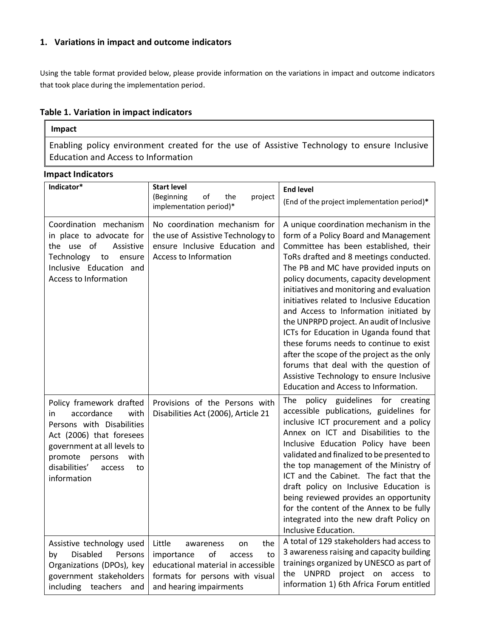## **1. Variations in impact and outcome indicators**

Using the table format provided below, please provide information on the variations in impact and outcome indicators that took place during the implementation period.

## **Table 1. Variation in impact indicators**

## **Impact**

Enabling policy environment created for the use of Assistive Technology to ensure Inclusive Education and Access to Information

#### **Impact Indicators**

| Indicator*                                                                                                                                                                                                                 | <b>Start level</b><br>(Beginning<br>of<br>the<br>project<br>implementation period)*                                                                                      | <b>End level</b><br>(End of the project implementation period)*                                                                                                                                                                                                                                                                                                                                                                                                                                                                                                                                                                                                                                          |
|----------------------------------------------------------------------------------------------------------------------------------------------------------------------------------------------------------------------------|--------------------------------------------------------------------------------------------------------------------------------------------------------------------------|----------------------------------------------------------------------------------------------------------------------------------------------------------------------------------------------------------------------------------------------------------------------------------------------------------------------------------------------------------------------------------------------------------------------------------------------------------------------------------------------------------------------------------------------------------------------------------------------------------------------------------------------------------------------------------------------------------|
| Coordination mechanism<br>in place to advocate for<br>the use of<br>Assistive<br>Technology<br>to<br>ensure<br>Inclusive Education and<br>Access to Information                                                            | No coordination mechanism for<br>the use of Assistive Technology to<br>ensure Inclusive Education and<br>Access to Information                                           | A unique coordination mechanism in the<br>form of a Policy Board and Management<br>Committee has been established, their<br>ToRs drafted and 8 meetings conducted.<br>The PB and MC have provided inputs on<br>policy documents, capacity development<br>initiatives and monitoring and evaluation<br>initiatives related to Inclusive Education<br>and Access to Information initiated by<br>the UNPRPD project. An audit of Inclusive<br>ICTs for Education in Uganda found that<br>these forums needs to continue to exist<br>after the scope of the project as the only<br>forums that deal with the question of<br>Assistive Technology to ensure Inclusive<br>Education and Access to Information. |
| Policy framework drafted<br>accordance<br>with<br>in<br>Persons with Disabilities<br>Act (2006) that foresees<br>government at all levels to<br>promote<br>persons<br>with<br>disabilities'<br>access<br>to<br>information | Provisions of the Persons with<br>Disabilities Act (2006), Article 21                                                                                                    | policy guidelines for creating<br>The<br>accessible publications, guidelines for<br>inclusive ICT procurement and a policy<br>Annex on ICT and Disabilities to the<br>Inclusive Education Policy have been<br>validated and finalized to be presented to<br>the top management of the Ministry of<br>ICT and the Cabinet. The fact that the<br>draft policy on Inclusive Education is<br>being reviewed provides an opportunity<br>for the content of the Annex to be fully<br>integrated into the new draft Policy on<br>Inclusive Education.                                                                                                                                                           |
| Assistive technology used<br><b>Disabled</b><br>Persons<br>by<br>Organizations (DPOs), key<br>government stakeholders<br>including teachers<br>and                                                                         | Little<br>the<br>awareness<br>on<br>of<br>importance<br>to<br>access<br>educational material in accessible<br>formats for persons with visual<br>and hearing impairments | A total of 129 stakeholders had access to<br>3 awareness raising and capacity building<br>trainings organized by UNESCO as part of<br>the UNPRD<br>project on access to<br>information 1) 6th Africa Forum entitled                                                                                                                                                                                                                                                                                                                                                                                                                                                                                      |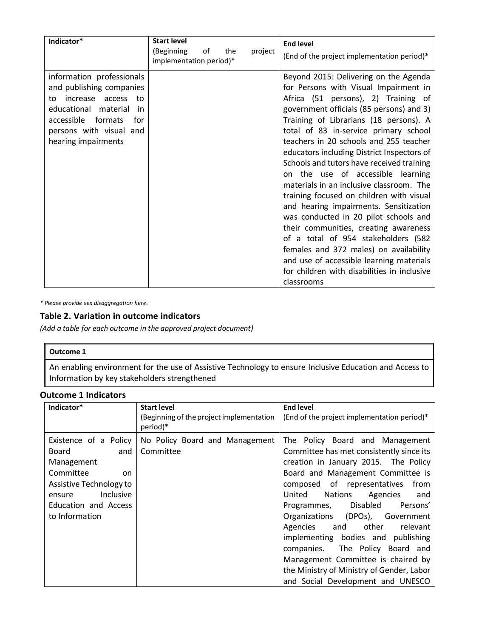| Indicator*                                                                                                                                                                                              | <b>Start level</b>                                            | <b>End level</b>                                                                                                                                                                                                                                                                                                                                                                                                                                                                                                                                                                                                                                                                                                                                                                                                                             |
|---------------------------------------------------------------------------------------------------------------------------------------------------------------------------------------------------------|---------------------------------------------------------------|----------------------------------------------------------------------------------------------------------------------------------------------------------------------------------------------------------------------------------------------------------------------------------------------------------------------------------------------------------------------------------------------------------------------------------------------------------------------------------------------------------------------------------------------------------------------------------------------------------------------------------------------------------------------------------------------------------------------------------------------------------------------------------------------------------------------------------------------|
|                                                                                                                                                                                                         | (Beginning<br>οf<br>the<br>project<br>implementation period)* | (End of the project implementation period)*                                                                                                                                                                                                                                                                                                                                                                                                                                                                                                                                                                                                                                                                                                                                                                                                  |
| information professionals<br>and publishing companies<br>increase<br>access<br>to<br>to<br>educational material<br>in<br>accessible<br>formats<br>for<br>persons with visual and<br>hearing impairments |                                                               | Beyond 2015: Delivering on the Agenda<br>for Persons with Visual Impairment in<br>Africa (51 persons), 2) Training of<br>government officials (85 persons) and 3)<br>Training of Librarians (18 persons). A<br>total of 83 in-service primary school<br>teachers in 20 schools and 255 teacher<br>educators including District Inspectors of<br>Schools and tutors have received training<br>on the use of accessible learning<br>materials in an inclusive classroom. The<br>training focused on children with visual<br>and hearing impairments. Sensitization<br>was conducted in 20 pilot schools and<br>their communities, creating awareness<br>of a total of 954 stakeholders (582<br>females and 372 males) on availability<br>and use of accessible learning materials<br>for children with disabilities in inclusive<br>classrooms |

*\* Please provide sex disaggregation here.*

## **Table 2. Variation in outcome indicators**

*(Add a table for each outcome in the approved project document)*

#### **Outcome 1**

An enabling environment for the use of Assistive Technology to ensure Inclusive Education and Access to Information by key stakeholders strengthened

### **Outcome 1 Indicators**

| Indicator*                                                                                                                                                         | <b>Start level</b>                                   | <b>End level</b>                                                                                                                                                                                                                                                                                                                                                                                                                                                                                                                                                |
|--------------------------------------------------------------------------------------------------------------------------------------------------------------------|------------------------------------------------------|-----------------------------------------------------------------------------------------------------------------------------------------------------------------------------------------------------------------------------------------------------------------------------------------------------------------------------------------------------------------------------------------------------------------------------------------------------------------------------------------------------------------------------------------------------------------|
|                                                                                                                                                                    | (Beginning of the project implementation<br>period)* | (End of the project implementation period)*                                                                                                                                                                                                                                                                                                                                                                                                                                                                                                                     |
| Existence of a Policy<br>Board<br>and<br>Management<br>Committee<br>on<br>Assistive Technology to<br>Inclusive<br>ensure<br>Education and Access<br>to Information | No Policy Board and Management<br>Committee          | The Policy Board and Management<br>Committee has met consistently since its<br>creation in January 2015. The Policy<br>Board and Management Committee is<br>composed of representatives<br>from<br>United<br><b>Nations</b><br>Agencies<br>and<br>Programmes, Disabled<br>Persons'<br>Organizations (DPOs), Government<br>other<br>Agencies<br>relevant<br>and<br>implementing bodies and publishing<br>companies. The Policy Board and<br>Management Committee is chaired by<br>the Ministry of Ministry of Gender, Labor<br>and Social Development and UNESCO |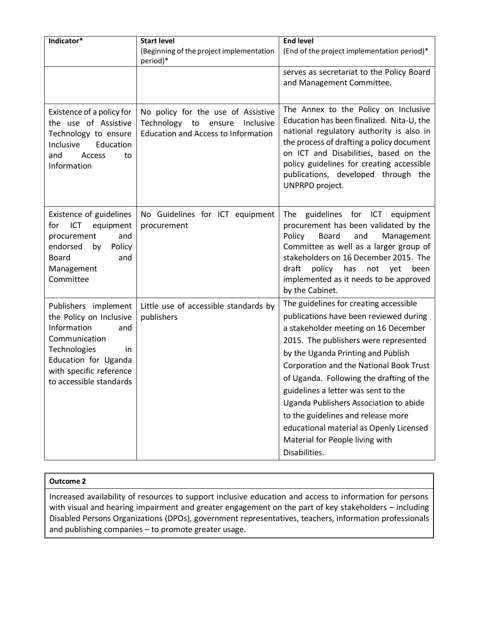| Indicator*                                                                                                                                                                                  | <b>Start level</b><br>(Beginning of the project implementation<br>period)*                                                  | <b>End level</b><br>(End of the project implementation period)*                                                                                                                                                                                                                                                                                                                                                                                                                                                      |
|---------------------------------------------------------------------------------------------------------------------------------------------------------------------------------------------|-----------------------------------------------------------------------------------------------------------------------------|----------------------------------------------------------------------------------------------------------------------------------------------------------------------------------------------------------------------------------------------------------------------------------------------------------------------------------------------------------------------------------------------------------------------------------------------------------------------------------------------------------------------|
|                                                                                                                                                                                             |                                                                                                                             | serves as secretariat to the Policy Board<br>and Management Committee.                                                                                                                                                                                                                                                                                                                                                                                                                                               |
| Existence of a policy for<br>the use of Assistive<br>Technology to ensure<br>Education<br>Inclusive<br>and<br>Access<br>to<br>Information                                                   | No policy for the use of Assistive<br>Technology<br>Inclusive<br>to<br>ensure<br><b>Education and Access to Information</b> | The Annex to the Policy on Inclusive<br>Education has been finalized. Nita-U, the<br>national regulatory authority is also in<br>the process of drafting a policy document<br>on ICT and Disabilities, based on the<br>policy guidelines for creating accessible<br>publications, developed through the<br>UNPRPD project.                                                                                                                                                                                           |
| Existence of guidelines<br>ICT<br>equipment<br>for<br>and<br>procurement<br>Policy<br>endorsed<br>by<br><b>Board</b><br>and<br>Management<br>Committee                                      | No Guidelines for ICT equipment<br>procurement                                                                              | guidelines<br>for ICT equipment<br>The<br>procurement has been validated by the<br>Policy<br><b>Board</b><br>and<br>Management<br>Committee as well as a larger group of<br>stakeholders on 16 December 2015. The<br>draft policy<br>has<br>not<br>yet<br>been<br>implemented as it needs to be approved<br>by the Cabinet.                                                                                                                                                                                          |
| Publishers implement<br>the Policy on Inclusive<br>Information<br>and<br>Communication<br>Technologies<br>in.<br>Education for Uganda<br>with specific reference<br>to accessible standards | Little use of accessible standards by<br>publishers                                                                         | The guidelines for creating accessible<br>publications have been reviewed during<br>a stakeholder meeting on 16 December<br>2015. The publishers were represented<br>by the Uganda Printing and Publish<br>Corporation and the National Book Trust<br>of Uganda. Following the drafting of the<br>guidelines a letter was sent to the<br>Uganda Publishers Association to abide<br>to the guidelines and release more<br>educational material as Openly Licensed<br>Material for People living with<br>Disabilities. |

### **Outcome 2**

Increased availability of resources to support inclusive education and access to information for persons with visual and hearing impairment and greater engagement on the part of key stakeholders – including Disabled Persons Organizations (DPOs), government representatives, teachers, information professionals and publishing companies – to promote greater usage.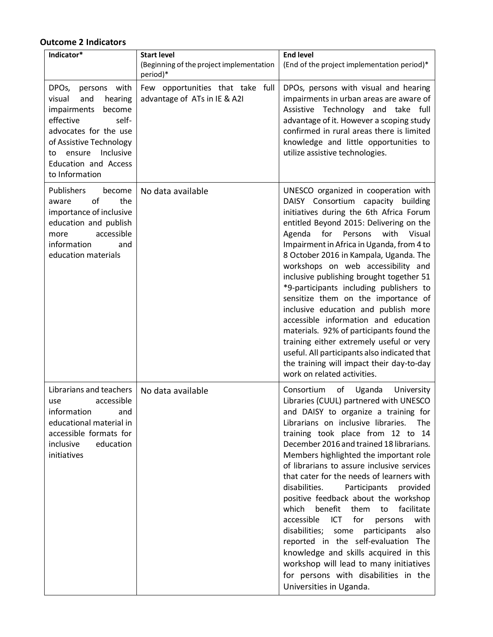# **Outcome 2 Indicators**

| Indicator*                                                                                                                                                                                                                                   | <b>Start level</b><br>(Beginning of the project implementation               | <b>End level</b><br>(End of the project implementation period)*                                                                                                                                                                                                                                                                                                                                                                                                                                                                                                                                                                                                                                                                                                                                                                        |
|----------------------------------------------------------------------------------------------------------------------------------------------------------------------------------------------------------------------------------------------|------------------------------------------------------------------------------|----------------------------------------------------------------------------------------------------------------------------------------------------------------------------------------------------------------------------------------------------------------------------------------------------------------------------------------------------------------------------------------------------------------------------------------------------------------------------------------------------------------------------------------------------------------------------------------------------------------------------------------------------------------------------------------------------------------------------------------------------------------------------------------------------------------------------------------|
| persons with<br>DPO <sub>s</sub> ,<br>visual<br>and<br>hearing<br>impairments<br>become<br>effective<br>self-<br>advocates for the use<br>of Assistive Technology<br>ensure Inclusive<br>to<br><b>Education and Access</b><br>to Information | period)*<br>Few opportunities that take full<br>advantage of ATs in IE & A2I | DPOs, persons with visual and hearing<br>impairments in urban areas are aware of<br>Assistive Technology and take full<br>advantage of it. However a scoping study<br>confirmed in rural areas there is limited<br>knowledge and little opportunities to<br>utilize assistive technologies.                                                                                                                                                                                                                                                                                                                                                                                                                                                                                                                                            |
| Publishers<br>become<br>of<br>the<br>aware<br>importance of inclusive<br>education and publish<br>accessible<br>more<br>information<br>and<br>education materials                                                                            | No data available                                                            | UNESCO organized in cooperation with<br>DAISY Consortium capacity building<br>initiatives during the 6th Africa Forum<br>entitled Beyond 2015: Delivering on the<br>for<br>with<br>Visual<br>Agenda<br>Persons<br>Impairment in Africa in Uganda, from 4 to<br>8 October 2016 in Kampala, Uganda. The<br>workshops on web accessibility and<br>inclusive publishing brought together 51<br>*9-participants including publishers to<br>sensitize them on the importance of<br>inclusive education and publish more<br>accessible information and education<br>materials. 92% of participants found the<br>training either extremely useful or very<br>useful. All participants also indicated that<br>the training will impact their day-to-day<br>work on related activities.                                                          |
| Librarians and teachers<br>accessible<br>use<br>information<br>and<br>educational material in<br>accessible formats for<br>inclusive<br>education<br>initiatives                                                                             | No data available                                                            | Consortium<br>of<br>Uganda<br>University<br>Libraries (CUUL) partnered with UNESCO<br>and DAISY to organize a training for<br>Librarians on inclusive libraries.<br>The<br>training took place from 12 to 14<br>December 2016 and trained 18 librarians.<br>Members highlighted the important role<br>of librarians to assure inclusive services<br>that cater for the needs of learners with<br>disabilities.<br>Participants<br>provided<br>positive feedback about the workshop<br>which<br>benefit<br>them<br>facilitate<br>to<br>accessible<br><b>ICT</b><br>for<br>with<br>persons<br>disabilities;<br>also<br>participants<br>some<br>reported in the self-evaluation The<br>knowledge and skills acquired in this<br>workshop will lead to many initiatives<br>for persons with disabilities in the<br>Universities in Uganda. |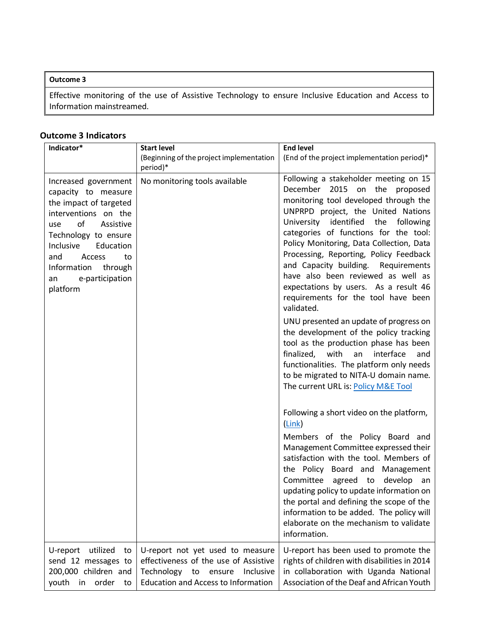### **Outcome 3**

Effective monitoring of the use of Assistive Technology to ensure Inclusive Education and Access to Information mainstreamed.

### **Outcome 3 Indicators**

| Indicator*                                                                                                                                                                                                                                                      | <b>Start level</b><br>(Beginning of the project implementation<br>period)*                                                                                         | <b>End level</b><br>(End of the project implementation period)*                                                                                                                                                                                                                                                                                                                                                                                                                                                                                                                                                                                                                                                                                                                                                          |
|-----------------------------------------------------------------------------------------------------------------------------------------------------------------------------------------------------------------------------------------------------------------|--------------------------------------------------------------------------------------------------------------------------------------------------------------------|--------------------------------------------------------------------------------------------------------------------------------------------------------------------------------------------------------------------------------------------------------------------------------------------------------------------------------------------------------------------------------------------------------------------------------------------------------------------------------------------------------------------------------------------------------------------------------------------------------------------------------------------------------------------------------------------------------------------------------------------------------------------------------------------------------------------------|
| Increased government<br>capacity to measure<br>the impact of targeted<br>interventions on the<br>Assistive<br>of<br>use<br>Technology to ensure<br>Inclusive<br>Education<br>and<br>Access<br>to<br>Information<br>through<br>e-participation<br>an<br>platform | No monitoring tools available                                                                                                                                      | Following a stakeholder meeting on 15<br>2015 on the proposed<br>December<br>monitoring tool developed through the<br>UNPRPD project, the United Nations<br>University identified<br>the<br>following<br>categories of functions for the tool:<br>Policy Monitoring, Data Collection, Data<br>Processing, Reporting, Policy Feedback<br>and Capacity building. Requirements<br>have also been reviewed as well as<br>expectations by users. As a result 46<br>requirements for the tool have been<br>validated.<br>UNU presented an update of progress on<br>the development of the policy tracking<br>tool as the production phase has been<br>finalized,<br>with<br>interface<br>an<br>and<br>functionalities. The platform only needs<br>to be migrated to NITA-U domain name.<br>The current URL is: Policy M&E Tool |
|                                                                                                                                                                                                                                                                 |                                                                                                                                                                    | Following a short video on the platform,<br>(Link)<br>Members of the Policy Board and<br>Management Committee expressed their<br>satisfaction with the tool. Members of<br>the Policy Board and Management<br>Committee<br>agreed to<br>develop<br>an<br>updating policy to update information on<br>the portal and defining the scope of the<br>information to be added. The policy will<br>elaborate on the mechanism to validate<br>information.                                                                                                                                                                                                                                                                                                                                                                      |
| utilized<br>U-report<br>to<br>send 12 messages to<br>200,000 children and<br>youth<br>order<br>in<br>to                                                                                                                                                         | U-report not yet used to measure<br>effectiveness of the use of Assistive<br>Technology<br>to<br>ensure<br>Inclusive<br><b>Education and Access to Information</b> | U-report has been used to promote the<br>rights of children with disabilities in 2014<br>in collaboration with Uganda National<br>Association of the Deaf and African Youth                                                                                                                                                                                                                                                                                                                                                                                                                                                                                                                                                                                                                                              |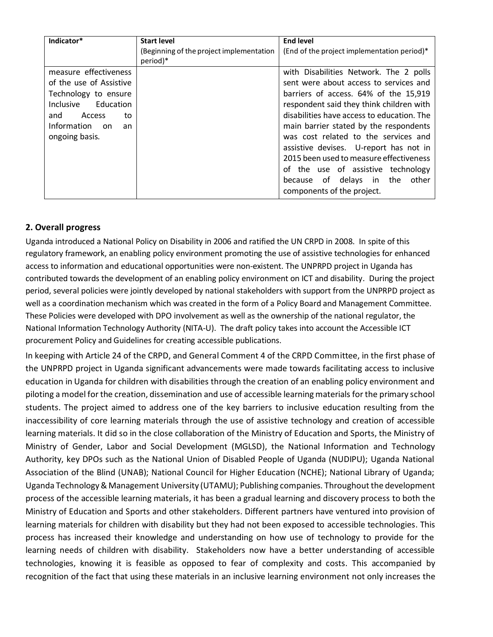| Indicator*              | <b>Start level</b>                       | <b>End level</b>                            |
|-------------------------|------------------------------------------|---------------------------------------------|
|                         | (Beginning of the project implementation | (End of the project implementation period)* |
|                         | period)*                                 |                                             |
| measure effectiveness   |                                          | with Disabilities Network. The 2 polls      |
| of the use of Assistive |                                          | sent were about access to services and      |
| Technology to ensure    |                                          | barriers of access. 64% of the 15,919       |
| Inclusive Education     |                                          | respondent said they think children with    |
| Access<br>and<br>to     |                                          | disabilities have access to education. The  |
| Information on<br>an    |                                          | main barrier stated by the respondents      |
| ongoing basis.          |                                          | was cost related to the services and        |
|                         |                                          | assistive devises. U-report has not in      |
|                         |                                          | 2015 been used to measure effectiveness     |
|                         |                                          | of the use of assistive technology          |
|                         |                                          | because of delays in the<br>other           |
|                         |                                          | components of the project.                  |

## **2. Overall progress**

Uganda introduced a National Policy on Disability in 2006 and ratified the UN CRPD in 2008. In spite of this regulatory framework, an enabling policy environment promoting the use of assistive technologies for enhanced access to information and educational opportunities were non-existent. The UNPRPD project in Uganda has contributed towards the development of an enabling policy environment on ICT and disability. During the project period, several policies were jointly developed by national stakeholders with support from the UNPRPD project as well as a coordination mechanism which was created in the form of a Policy Board and Management Committee. These Policies were developed with DPO involvement as well as the ownership of the national regulator, the National Information Technology Authority (NITA-U). The draft policy takes into account the Accessible ICT procurement Policy and Guidelines for creating accessible publications.

In keeping with Article 24 of the CRPD, and General Comment 4 of the CRPD Committee, in the first phase of the UNPRPD project in Uganda significant advancements were made towards facilitating access to inclusive education in Uganda for children with disabilities through the creation of an enabling policy environment and piloting a model for the creation, dissemination and use of accessible learning materials for the primary school students. The project aimed to address one of the key barriers to inclusive education resulting from the inaccessibility of core learning materials through the use of assistive technology and creation of accessible learning materials. It did so in the close collaboration of the Ministry of Education and Sports, the Ministry of Ministry of Gender, Labor and Social Development (MGLSD), the National Information and Technology Authority, key DPOs such as the National Union of Disabled People of Uganda (NUDIPU); Uganda National Association of the Blind (UNAB); National Council for Higher Education (NCHE); National Library of Uganda; Uganda Technology & Management University (UTAMU); Publishing companies. Throughoutthe development process of the accessible learning materials, it has been a gradual learning and discovery process to both the Ministry of Education and Sports and other stakeholders. Different partners have ventured into provision of learning materials for children with disability but they had not been exposed to accessible technologies. This process has increased their knowledge and understanding on how use of technology to provide for the learning needs of children with disability. Stakeholders now have a better understanding of accessible technologies, knowing it is feasible as opposed to fear of complexity and costs. This accompanied by recognition of the fact that using these materials in an inclusive learning environment not only increases the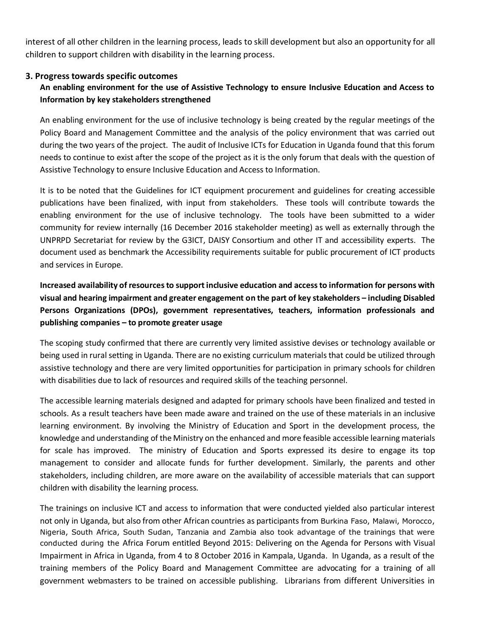interest of all other children in the learning process, leads to skill development but also an opportunity for all children to support children with disability in the learning process.

### **3. Progress towards specific outcomes**

# **An enabling environment for the use of Assistive Technology to ensure Inclusive Education and Access to Information by key stakeholders strengthened**

An enabling environment for the use of inclusive technology is being created by the regular meetings of the Policy Board and Management Committee and the analysis of the policy environment that was carried out during the two years of the project. The audit of Inclusive ICTs for Education in Uganda found that this forum needs to continue to exist after the scope of the project as it is the only forum that deals with the question of Assistive Technology to ensure Inclusive Education and Access to Information.

It is to be noted that the Guidelines for ICT equipment procurement and guidelines for creating accessible publications have been finalized, with input from stakeholders. These tools will contribute towards the enabling environment for the use of inclusive technology. The tools have been submitted to a wider community for review internally (16 December 2016 stakeholder meeting) as well as externally through the UNPRPD Secretariat for review by the G3ICT, DAISY Consortium and other IT and accessibility experts. The document used as benchmark the Accessibility requirements suitable for public procurement of ICT products and services in Europe.

**Increased availability of resources to support inclusive education and access to information for persons with visual and hearing impairment and greater engagement on the part of key stakeholders – including Disabled Persons Organizations (DPOs), government representatives, teachers, information professionals and publishing companies – to promote greater usage**

The scoping study confirmed that there are currently very limited assistive devises or technology available or being used in rural setting in Uganda. There are no existing curriculum materials that could be utilized through assistive technology and there are very limited opportunities for participation in primary schools for children with disabilities due to lack of resources and required skills of the teaching personnel.

The accessible learning materials designed and adapted for primary schools have been finalized and tested in schools. As a result teachers have been made aware and trained on the use of these materials in an inclusive learning environment. By involving the Ministry of Education and Sport in the development process, the knowledge and understanding of the Ministry on the enhanced and more feasible accessible learning materials for scale has improved. The ministry of Education and Sports expressed its desire to engage its top management to consider and allocate funds for further development. Similarly, the parents and other stakeholders, including children, are more aware on the availability of accessible materials that can support children with disability the learning process.

The trainings on inclusive ICT and access to information that were conducted yielded also particular interest not only in Uganda, but also from other African countries as participants from Burkina Faso, Malawi, Morocco, Nigeria, South Africa, South Sudan, Tanzania and Zambia also took advantage of the trainings that were conducted during the Africa Forum entitled Beyond 2015: Delivering on the Agenda for Persons with Visual Impairment in Africa in Uganda, from 4 to 8 October 2016 in Kampala, Uganda. In Uganda, as a result of the training members of the Policy Board and Management Committee are advocating for a training of all government webmasters to be trained on accessible publishing. Librarians from different Universities in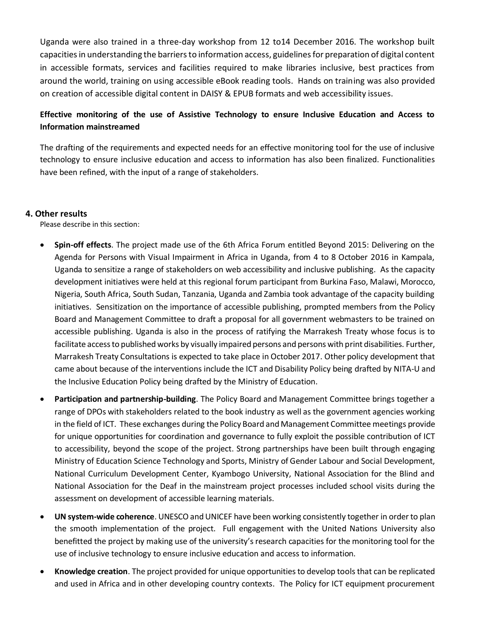Uganda were also trained in a three-day workshop from 12 to14 December 2016. The workshop built capacities in understanding the barriers to information access, guidelines for preparation of digital content in accessible formats, services and facilities required to make libraries inclusive, best practices from around the world, training on using accessible eBook reading tools. Hands on training was also provided on creation of accessible digital content in DAISY & EPUB formats and web accessibility issues.

## **Effective monitoring of the use of Assistive Technology to ensure Inclusive Education and Access to Information mainstreamed**

The drafting of the requirements and expected needs for an effective monitoring tool for the use of inclusive technology to ensure inclusive education and access to information has also been finalized. Functionalities have been refined, with the input of a range of stakeholders.

### **4. Other results**

Please describe in this section:

- **Spin-off effects**. The project made use of the 6th Africa Forum entitled Beyond 2015: Delivering on the Agenda for Persons with Visual Impairment in Africa in Uganda, from 4 to 8 October 2016 in Kampala, Uganda to sensitize a range of stakeholders on web accessibility and inclusive publishing. As the capacity development initiatives were held at this regional forum participant from Burkina Faso, Malawi, Morocco, Nigeria, South Africa, South Sudan, Tanzania, Uganda and Zambia took advantage of the capacity building initiatives. Sensitization on the importance of accessible publishing, prompted members from the Policy Board and Management Committee to draft a proposal for all government webmasters to be trained on accessible publishing. Uganda is also in the process of ratifying the Marrakesh Treaty whose focus is to facilitate access to published works by visually impaired persons and persons with print disabilities. Further, Marrakesh Treaty Consultations is expected to take place in October 2017. Other policy development that came about because of the interventions include the ICT and Disability Policy being drafted by NITA-U and the Inclusive Education Policy being drafted by the Ministry of Education.
- **Participation and partnership-building**. The Policy Board and Management Committee brings together a range of DPOs with stakeholders related to the book industry as well as the government agencies working in the field of ICT. These exchanges during the Policy Board and Management Committee meetings provide for unique opportunities for coordination and governance to fully exploit the possible contribution of ICT to accessibility, beyond the scope of the project. Strong partnerships have been built through engaging Ministry of Education Science Technology and Sports, Ministry of Gender Labour and Social Development, National Curriculum Development Center, Kyambogo University, National Association for the Blind and National Association for the Deaf in the mainstream project processes included school visits during the assessment on development of accessible learning materials.
- **UN system-wide coherence**. UNESCO and UNICEF have been working consistently together in order to plan the smooth implementation of the project. Full engagement with the United Nations University also benefitted the project by making use of the university's research capacities for the monitoring tool for the use of inclusive technology to ensure inclusive education and access to information.
- **Knowledge creation**. The project provided for unique opportunities to develop tools that can be replicated and used in Africa and in other developing country contexts. The Policy for ICT equipment procurement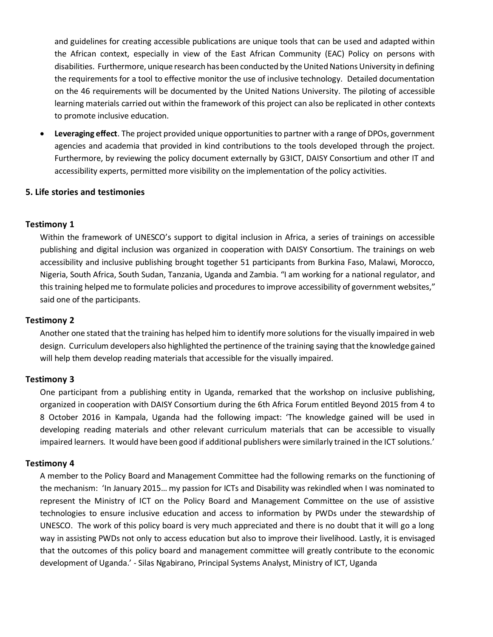and guidelines for creating accessible publications are unique tools that can be used and adapted within the African context, especially in view of the East African Community (EAC) Policy on persons with disabilities. Furthermore, unique research has been conducted by the United Nations University in defining the requirements for a tool to effective monitor the use of inclusive technology. Detailed documentation on the 46 requirements will be documented by the United Nations University. The piloting of accessible learning materials carried out within the framework of this project can also be replicated in other contexts to promote inclusive education.

 **Leveraging effect**. The project provided unique opportunities to partner with a range of DPOs, government agencies and academia that provided in kind contributions to the tools developed through the project. Furthermore, by reviewing the policy document externally by G3ICT, DAISY Consortium and other IT and accessibility experts, permitted more visibility on the implementation of the policy activities.

### **5. Life stories and testimonies**

## **Testimony 1**

Within the framework of UNESCO's support to digital inclusion in Africa, a series of trainings on accessible publishing and digital inclusion was organized in cooperation with DAISY Consortium. The trainings on web accessibility and inclusive publishing brought together 51 participants from Burkina Faso, Malawi, Morocco, Nigeria, South Africa, South Sudan, Tanzania, Uganda and Zambia. "I am working for a national regulator, and this training helped me to formulate policies and procedures to improve accessibility of government websites," said one of the participants.

### **Testimony 2**

Another one stated that the training has helped him to identify more solutions for the visually impaired in web design. Curriculum developers also highlighted the pertinence of the training saying that the knowledge gained will help them develop reading materials that accessible for the visually impaired.

### **Testimony 3**

One participant from a publishing entity in Uganda, remarked that the workshop on inclusive publishing, organized in cooperation with DAISY Consortium during the 6th Africa Forum entitled Beyond 2015 from 4 to 8 October 2016 in Kampala, Uganda had the following impact: 'The knowledge gained will be used in developing reading materials and other relevant curriculum materials that can be accessible to visually impaired learners. It would have been good if additional publishers were similarly trained in the ICT solutions.'

### **Testimony 4**

A member to the Policy Board and Management Committee had the following remarks on the functioning of the mechanism: 'In January 2015… my passion for ICTs and Disability was rekindled when I was nominated to represent the Ministry of ICT on the Policy Board and Management Committee on the use of assistive technologies to ensure inclusive education and access to information by PWDs under the stewardship of UNESCO. The work of this policy board is very much appreciated and there is no doubt that it will go a long way in assisting PWDs not only to access education but also to improve their livelihood. Lastly, it is envisaged that the outcomes of this policy board and management committee will greatly contribute to the economic development of Uganda.' - Silas Ngabirano, Principal Systems Analyst, Ministry of ICT, Uganda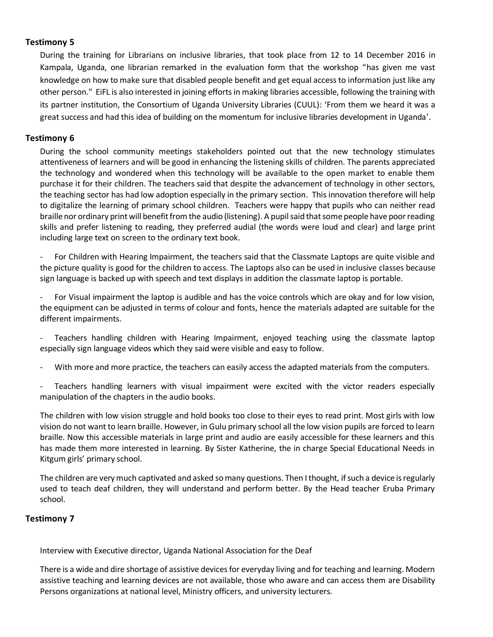## **Testimony 5**

During the training for Librarians on inclusive libraries, that took place from 12 to 14 December 2016 in Kampala, Uganda, one librarian remarked in the evaluation form that the workshop "has given me vast knowledge on how to make sure that disabled people benefit and get equal access to information just like any other person." EiFL is also interested in joining efforts in making libraries accessible, following the training with its partner institution, the Consortium of Uganda University Libraries (CUUL): 'From them we heard it was a great success and had this idea of building on the momentum for inclusive libraries development in Uganda'.

### **Testimony 6**

During the school community meetings stakeholders pointed out that the new technology stimulates attentiveness of learners and will be good in enhancing the listening skills of children. The parents appreciated the technology and wondered when this technology will be available to the open market to enable them purchase it for their children. The teachers said that despite the advancement of technology in other sectors, the teaching sector has had low adoption especially in the primary section. This innovation therefore will help to digitalize the learning of primary school children. Teachers were happy that pupils who can neither read braille nor ordinary print will benefit from the audio (listening). A pupil said that some people have poor reading skills and prefer listening to reading, they preferred audial (the words were loud and clear) and large print including large text on screen to the ordinary text book.

For Children with Hearing Impairment, the teachers said that the Classmate Laptops are quite visible and the picture quality is good for the children to access. The Laptops also can be used in inclusive classes because sign language is backed up with speech and text displays in addition the classmate laptop is portable.

For Visual impairment the laptop is audible and has the voice controls which are okay and for low vision, the equipment can be adjusted in terms of colour and fonts, hence the materials adapted are suitable for the different impairments.

Teachers handling children with Hearing Impairment, enjoyed teaching using the classmate laptop especially sign language videos which they said were visible and easy to follow.

With more and more practice, the teachers can easily access the adapted materials from the computers.

Teachers handling learners with visual impairment were excited with the victor readers especially manipulation of the chapters in the audio books.

The children with low vision struggle and hold books too close to their eyes to read print. Most girls with low vision do not want to learn braille. However, in Gulu primary school all the low vision pupils are forced to learn braille. Now this accessible materials in large print and audio are easily accessible for these learners and this has made them more interested in learning. By Sister Katherine, the in charge Special Educational Needs in Kitgum girls' primary school.

The children are very much captivated and asked so many questions. Then I thought, if such a device is regularly used to teach deaf children, they will understand and perform better. By the Head teacher Eruba Primary school.

### **Testimony 7**

Interview with Executive director, Uganda National Association for the Deaf

There is a wide and dire shortage of assistive devices for everyday living and for teaching and learning. Modern assistive teaching and learning devices are not available, those who aware and can access them are Disability Persons organizations at national level, Ministry officers, and university lecturers.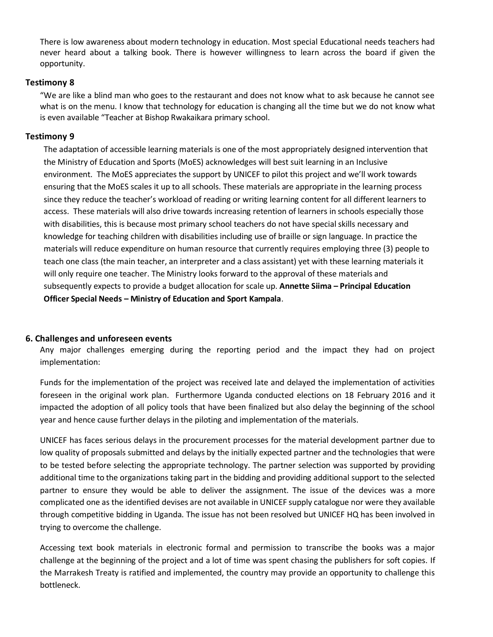There is low awareness about modern technology in education. Most special Educational needs teachers had never heard about a talking book. There is however willingness to learn across the board if given the opportunity.

### **Testimony 8**

"We are like a blind man who goes to the restaurant and does not know what to ask because he cannot see what is on the menu. I know that technology for education is changing all the time but we do not know what is even available "Teacher at Bishop Rwakaikara primary school.

### **Testimony 9**

The adaptation of accessible learning materials is one of the most appropriately designed intervention that the Ministry of Education and Sports (MoES) acknowledges will best suit learning in an Inclusive environment. The MoES appreciates the support by UNICEF to pilot this project and we'll work towards ensuring that the MoES scales it up to all schools. These materials are appropriate in the learning process since they reduce the teacher's workload of reading or writing learning content for all different learners to access. These materials will also drive towards increasing retention of learners in schools especially those with disabilities, this is because most primary school teachers do not have special skills necessary and knowledge for teaching children with disabilities including use of braille or sign language. In practice the materials will reduce expenditure on human resource that currently requires employing three (3) people to teach one class (the main teacher, an interpreter and a class assistant) yet with these learning materials it will only require one teacher. The Ministry looks forward to the approval of these materials and subsequently expects to provide a budget allocation for scale up. **Annette Siima – Principal Education Officer Special Needs – Ministry of Education and Sport Kampala**.

## **6. Challenges and unforeseen events**

Any major challenges emerging during the reporting period and the impact they had on project implementation:

Funds for the implementation of the project was received late and delayed the implementation of activities foreseen in the original work plan. Furthermore Uganda conducted elections on 18 February 2016 and it impacted the adoption of all policy tools that have been finalized but also delay the beginning of the school year and hence cause further delays in the piloting and implementation of the materials.

UNICEF has faces serious delays in the procurement processes for the material development partner due to low quality of proposals submitted and delays by the initially expected partner and the technologies that were to be tested before selecting the appropriate technology. The partner selection was supported by providing additional time to the organizations taking part in the bidding and providing additional support to the selected partner to ensure they would be able to deliver the assignment. The issue of the devices was a more complicated one as the identified devises are not available in UNICEF supply catalogue nor were they available through competitive bidding in Uganda. The issue has not been resolved but UNICEF HQ has been involved in trying to overcome the challenge.

Accessing text book materials in electronic formal and permission to transcribe the books was a major challenge at the beginning of the project and a lot of time was spent chasing the publishers for soft copies. If the Marrakesh Treaty is ratified and implemented, the country may provide an opportunity to challenge this bottleneck.